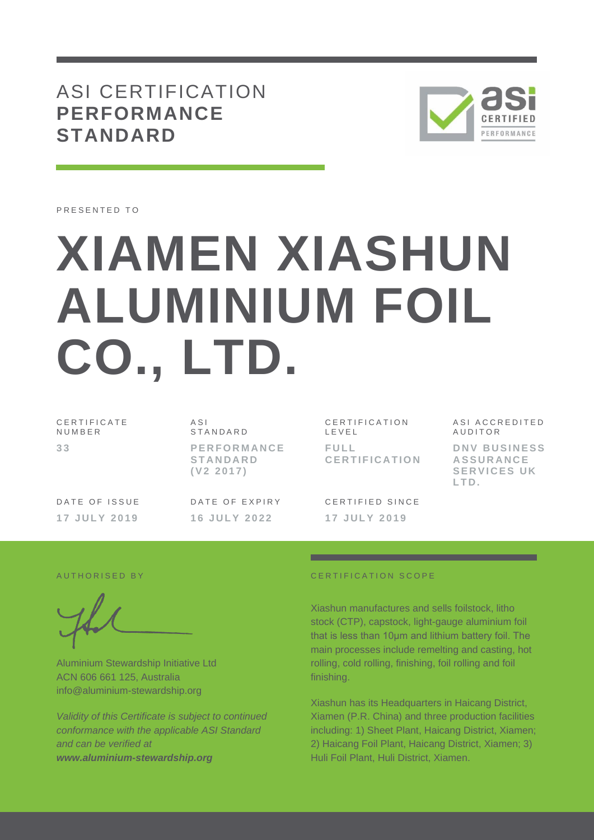## ASI CERTIFICATION **PERFORMANCE STANDARD**



PRESENTED TO

# **XIAMEN XIASHUN ALUMINIUM FOIL CO., LTD.**

C E R T I F I C A T E **NUMBER 3 3**

A S I STANDARD **P E R F O R M A N C E S T A N D A R D ( V 2 2 0 1 7 )**

DATE OF ISSUE **1 7 J U L Y 201 9**

DATE OF EXPIRY **1 6 J U L Y 2 0 2 2**

C E R T I F I C A T I O N L E V E L **F U L L C E R T I F I C A T I O N**

**AUDITOR D N V B U S I N E S S A S S U R A N C E SERVICES UK L T D .**

A S I A C C R E D I T E D

CERTIFIED SINCE **1 7 J U L Y 2 0 1 9**

Aluminium Stewardship Initiative Ltd ACN 606 661 125, Australia info@aluminium-stewardship.org

*Validity of this Certificate is subject to continued conformance with the applicable ASI Standard and can be verified at www.aluminium-stewardship.org*

#### A UT HORISED BY CERTIFICATION SCOPE

Xiashun manufactures and sells foilstock, litho stock (CTP), capstock, light-gauge aluminium foil that is less than 10μm and lithium battery foil. The main processes include remelting and casting, hot rolling, cold rolling, finishing, foil rolling and foil finishing.

Xiashun has its Headquarters in Haicang District, Xiamen (P.R. China) and three production facilities including: 1) Sheet Plant, Haicang District, Xiamen; 2) Haicang Foil Plant, Haicang District, Xiamen; 3) Huli Foil Plant, Huli District, Xiamen.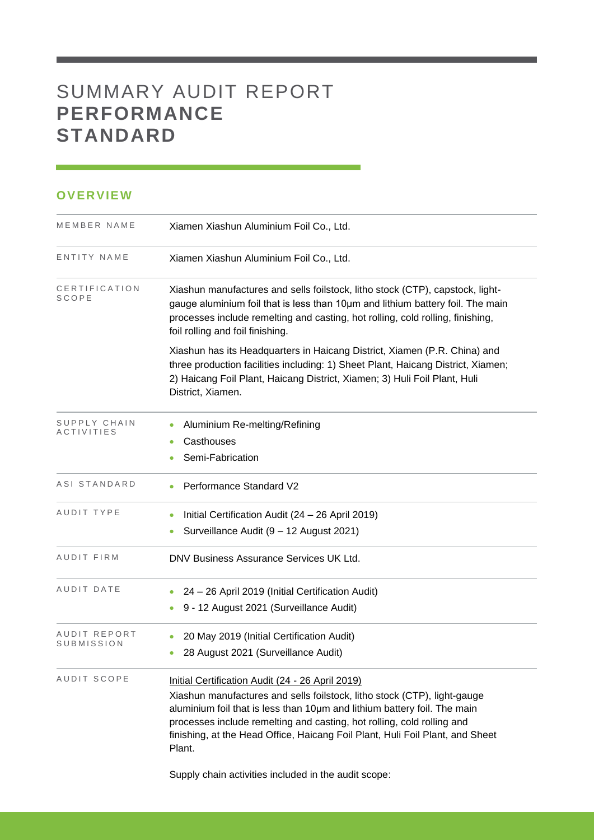# SUMMARY AUDIT REPORT **PERFORMANCE STANDARD**

### **OVERVIEW**

| MEMBER NAME                | Xiamen Xiashun Aluminium Foil Co., Ltd.                                                                                                                                                                                                                                                                                                                                       |  |  |
|----------------------------|-------------------------------------------------------------------------------------------------------------------------------------------------------------------------------------------------------------------------------------------------------------------------------------------------------------------------------------------------------------------------------|--|--|
| ENTITY NAME                | Xiamen Xiashun Aluminium Foil Co., Ltd.                                                                                                                                                                                                                                                                                                                                       |  |  |
| CERTIFICATION<br>SCOPE     | Xiashun manufactures and sells foilstock, litho stock (CTP), capstock, light-<br>gauge aluminium foil that is less than 10um and lithium battery foil. The main<br>processes include remelting and casting, hot rolling, cold rolling, finishing,<br>foil rolling and foil finishing.                                                                                         |  |  |
|                            | Xiashun has its Headquarters in Haicang District, Xiamen (P.R. China) and<br>three production facilities including: 1) Sheet Plant, Haicang District, Xiamen;<br>2) Haicang Foil Plant, Haicang District, Xiamen; 3) Huli Foil Plant, Huli<br>District, Xiamen.                                                                                                               |  |  |
| SUPPLY CHAIN<br>ACTIVITIES | Aluminium Re-melting/Refining                                                                                                                                                                                                                                                                                                                                                 |  |  |
|                            | Casthouses                                                                                                                                                                                                                                                                                                                                                                    |  |  |
|                            | Semi-Fabrication                                                                                                                                                                                                                                                                                                                                                              |  |  |
| ASI STANDARD               | <b>Performance Standard V2</b>                                                                                                                                                                                                                                                                                                                                                |  |  |
| AUDIT TYPE                 | Initial Certification Audit (24 - 26 April 2019)                                                                                                                                                                                                                                                                                                                              |  |  |
|                            | Surveillance Audit (9 - 12 August 2021)                                                                                                                                                                                                                                                                                                                                       |  |  |
| AUDIT FIRM                 | DNV Business Assurance Services UK Ltd.                                                                                                                                                                                                                                                                                                                                       |  |  |
| AUDIT DATE                 | 24 - 26 April 2019 (Initial Certification Audit)                                                                                                                                                                                                                                                                                                                              |  |  |
|                            | 9 - 12 August 2021 (Surveillance Audit)                                                                                                                                                                                                                                                                                                                                       |  |  |
| AUDIT REPORT               | 20 May 2019 (Initial Certification Audit)                                                                                                                                                                                                                                                                                                                                     |  |  |
| SUBMISSION                 | 28 August 2021 (Surveillance Audit)<br>۰                                                                                                                                                                                                                                                                                                                                      |  |  |
| AUDIT SCOPE                | Initial Certification Audit (24 - 26 April 2019)<br>Xiashun manufactures and sells foilstock, litho stock (CTP), light-gauge<br>aluminium foil that is less than 10um and lithium battery foil. The main<br>processes include remelting and casting, hot rolling, cold rolling and<br>finishing, at the Head Office, Haicang Foil Plant, Huli Foil Plant, and Sheet<br>Plant. |  |  |

<u> 1989 - Johann Barnett, mars et al. 1989 - Anna ann an t-</u>

Supply chain activities included in the audit scope: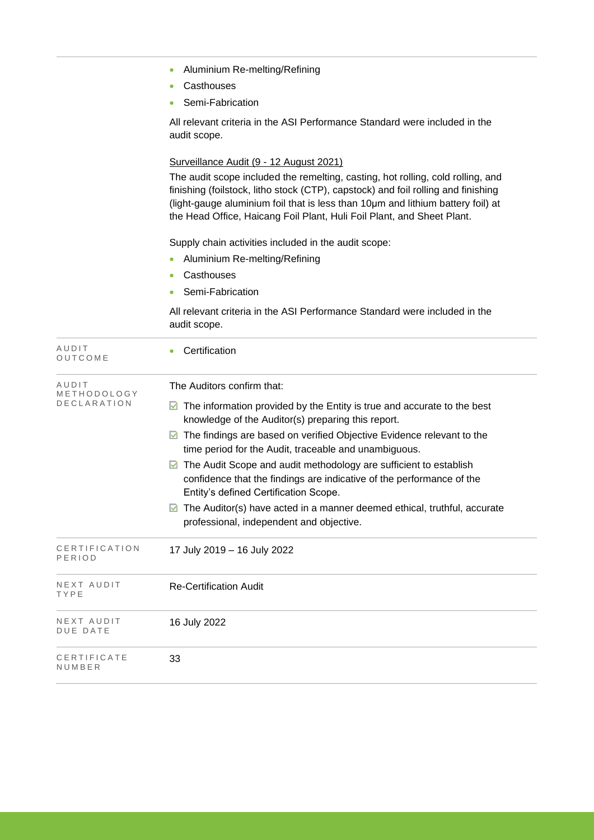|  |  | Aluminium Re-melting/Refining |
|--|--|-------------------------------|
|--|--|-------------------------------|

- Casthouses
- Semi-Fabrication

All relevant criteria in the ASI Performance Standard were included in the audit scope.

#### Surveillance Audit (9 - 12 August 2021)

The audit scope included the remelting, casting, hot rolling, cold rolling, and finishing (foilstock, litho stock (CTP), capstock) and foil rolling and finishing (light-gauge aluminium foil that is less than 10μm and lithium battery foil) at the Head Office, Haicang Foil Plant, Huli Foil Plant, and Sheet Plant.

Supply chain activities included in the audit scope:

- Aluminium Re-melting/Refining
- Casthouses
- Semi-Fabrication

All relevant criteria in the ASI Performance Standard were included in the audit scope.

| AUDIT<br>OUTCOME                           | Certification                                                                                                                                                                                                                                                                                                                                                                                                                                                                                                                                                                                                                       |
|--------------------------------------------|-------------------------------------------------------------------------------------------------------------------------------------------------------------------------------------------------------------------------------------------------------------------------------------------------------------------------------------------------------------------------------------------------------------------------------------------------------------------------------------------------------------------------------------------------------------------------------------------------------------------------------------|
| AUDIT<br>METHODOLOGY<br><b>DECLARATION</b> | The Auditors confirm that:<br>The information provided by the Entity is true and accurate to the best<br>knowledge of the Auditor(s) preparing this report.<br>The findings are based on verified Objective Evidence relevant to the<br>M<br>time period for the Audit, traceable and unambiguous.<br>The Audit Scope and audit methodology are sufficient to establish<br>confidence that the findings are indicative of the performance of the<br>Entity's defined Certification Scope.<br>The Auditor(s) have acted in a manner deemed ethical, truthful, accurate<br>$\blacksquare$<br>professional, independent and objective. |
| CERTIFICATION<br>PERIOD                    | 17 July 2019 - 16 July 2022                                                                                                                                                                                                                                                                                                                                                                                                                                                                                                                                                                                                         |
| NEXT AUDIT<br>TYPE                         | <b>Re-Certification Audit</b>                                                                                                                                                                                                                                                                                                                                                                                                                                                                                                                                                                                                       |
| NEXT AUDIT<br><b>DUE DATE</b>              | 16 July 2022                                                                                                                                                                                                                                                                                                                                                                                                                                                                                                                                                                                                                        |
| CERTIFICATE<br>NUMBER                      | 33                                                                                                                                                                                                                                                                                                                                                                                                                                                                                                                                                                                                                                  |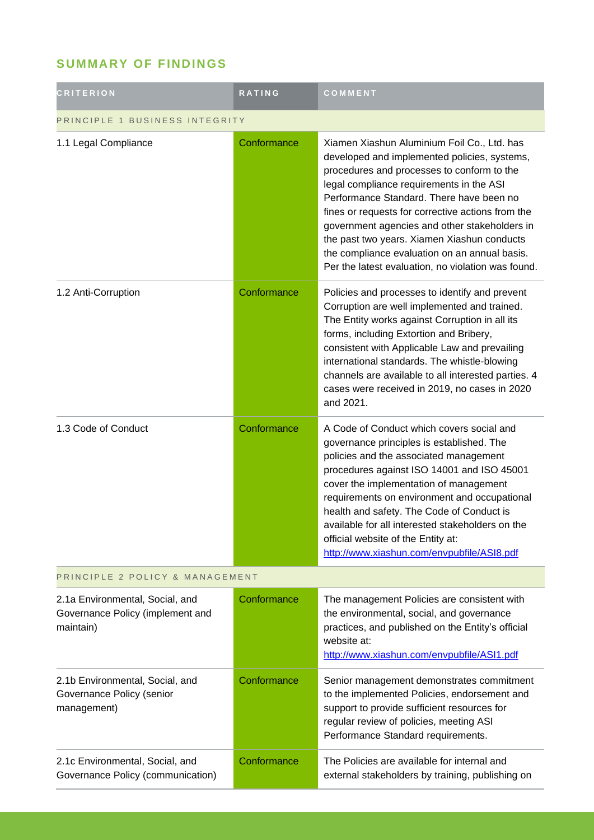## **SUMMARY OF FINDINGS**

| <b>CRITERION</b>                                                                 | RATING      | COMMENT                                                                                                                                                                                                                                                                                                                                                                                                                                                                                       |  |
|----------------------------------------------------------------------------------|-------------|-----------------------------------------------------------------------------------------------------------------------------------------------------------------------------------------------------------------------------------------------------------------------------------------------------------------------------------------------------------------------------------------------------------------------------------------------------------------------------------------------|--|
| PRINCIPLE 1 BUSINESS INTEGRITY                                                   |             |                                                                                                                                                                                                                                                                                                                                                                                                                                                                                               |  |
| 1.1 Legal Compliance                                                             | Conformance | Xiamen Xiashun Aluminium Foil Co., Ltd. has<br>developed and implemented policies, systems,<br>procedures and processes to conform to the<br>legal compliance requirements in the ASI<br>Performance Standard. There have been no<br>fines or requests for corrective actions from the<br>government agencies and other stakeholders in<br>the past two years. Xiamen Xiashun conducts<br>the compliance evaluation on an annual basis.<br>Per the latest evaluation, no violation was found. |  |
| 1.2 Anti-Corruption                                                              | Conformance | Policies and processes to identify and prevent<br>Corruption are well implemented and trained.<br>The Entity works against Corruption in all its<br>forms, including Extortion and Bribery,<br>consistent with Applicable Law and prevailing<br>international standards. The whistle-blowing<br>channels are available to all interested parties. 4<br>cases were received in 2019, no cases in 2020<br>and 2021.                                                                             |  |
| 1.3 Code of Conduct                                                              | Conformance | A Code of Conduct which covers social and<br>governance principles is established. The<br>policies and the associated management<br>procedures against ISO 14001 and ISO 45001<br>cover the implementation of management<br>requirements on environment and occupational<br>health and safety. The Code of Conduct is<br>available for all interested stakeholders on the<br>official website of the Entity at:<br>http://www.xiashun.com/envpubfile/ASI8.pdf                                 |  |
| PRINCIPLE 2 POLICY & MANAGEMENT                                                  |             |                                                                                                                                                                                                                                                                                                                                                                                                                                                                                               |  |
| 2.1a Environmental, Social, and<br>Governance Policy (implement and<br>maintain) | Conformance | The management Policies are consistent with<br>the environmental, social, and governance<br>practices, and published on the Entity's official<br>website at:<br>http://www.xiashun.com/envpubfile/ASI1.pdf                                                                                                                                                                                                                                                                                    |  |
| 2.1b Environmental, Social, and<br>Governance Policy (senior<br>management)      | Conformance | Senior management demonstrates commitment<br>to the implemented Policies, endorsement and<br>support to provide sufficient resources for<br>regular review of policies, meeting ASI<br>Performance Standard requirements.                                                                                                                                                                                                                                                                     |  |
| 2.1c Environmental, Social, and<br>Governance Policy (communication)             | Conformance | The Policies are available for internal and<br>external stakeholders by training, publishing on                                                                                                                                                                                                                                                                                                                                                                                               |  |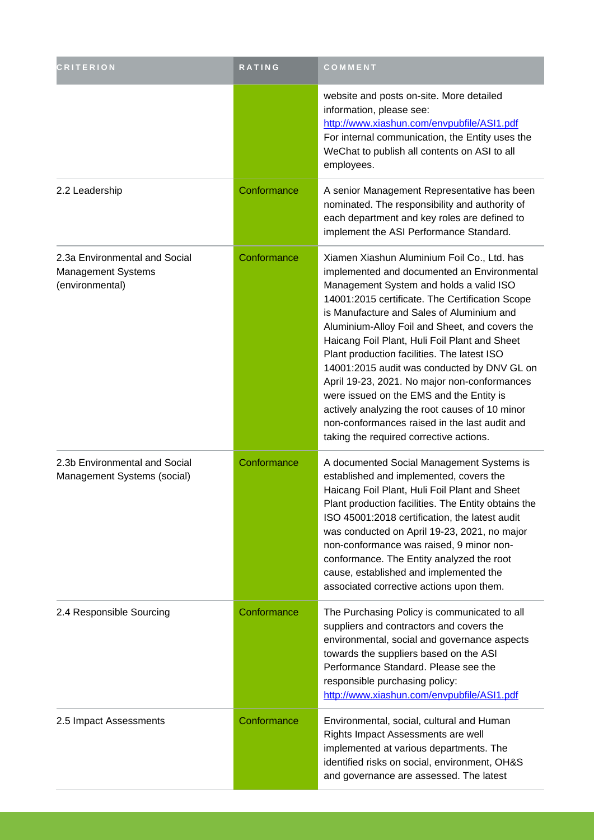| <b>CRITERION</b>                                                       | <b>RATING</b> | COMMENT                                                                                                                                                                                                                                                                                                                                                                                                                                                                                                                                                                                                                                                                          |
|------------------------------------------------------------------------|---------------|----------------------------------------------------------------------------------------------------------------------------------------------------------------------------------------------------------------------------------------------------------------------------------------------------------------------------------------------------------------------------------------------------------------------------------------------------------------------------------------------------------------------------------------------------------------------------------------------------------------------------------------------------------------------------------|
|                                                                        |               | website and posts on-site. More detailed<br>information, please see:<br>http://www.xiashun.com/envpubfile/ASI1.pdf<br>For internal communication, the Entity uses the<br>WeChat to publish all contents on ASI to all<br>employees.                                                                                                                                                                                                                                                                                                                                                                                                                                              |
| 2.2 Leadership                                                         | Conformance   | A senior Management Representative has been<br>nominated. The responsibility and authority of<br>each department and key roles are defined to<br>implement the ASI Performance Standard.                                                                                                                                                                                                                                                                                                                                                                                                                                                                                         |
| 2.3a Environmental and Social<br>Management Systems<br>(environmental) | Conformance   | Xiamen Xiashun Aluminium Foil Co., Ltd. has<br>implemented and documented an Environmental<br>Management System and holds a valid ISO<br>14001:2015 certificate. The Certification Scope<br>is Manufacture and Sales of Aluminium and<br>Aluminium-Alloy Foil and Sheet, and covers the<br>Haicang Foil Plant, Huli Foil Plant and Sheet<br>Plant production facilities. The latest ISO<br>14001:2015 audit was conducted by DNV GL on<br>April 19-23, 2021. No major non-conformances<br>were issued on the EMS and the Entity is<br>actively analyzing the root causes of 10 minor<br>non-conformances raised in the last audit and<br>taking the required corrective actions. |
| 2.3b Environmental and Social<br>Management Systems (social)           | Conformance   | A documented Social Management Systems is<br>established and implemented, covers the<br>Haicang Foil Plant, Huli Foil Plant and Sheet<br>Plant production facilities. The Entity obtains the<br>ISO 45001:2018 certification, the latest audit<br>was conducted on April 19-23, 2021, no major<br>non-conformance was raised, 9 minor non-<br>conformance. The Entity analyzed the root<br>cause, established and implemented the<br>associated corrective actions upon them.                                                                                                                                                                                                    |
| 2.4 Responsible Sourcing                                               | Conformance   | The Purchasing Policy is communicated to all<br>suppliers and contractors and covers the<br>environmental, social and governance aspects<br>towards the suppliers based on the ASI<br>Performance Standard. Please see the<br>responsible purchasing policy:<br>http://www.xiashun.com/envpubfile/ASI1.pdf                                                                                                                                                                                                                                                                                                                                                                       |
| 2.5 Impact Assessments                                                 | Conformance   | Environmental, social, cultural and Human<br>Rights Impact Assessments are well<br>implemented at various departments. The<br>identified risks on social, environment, OH&S<br>and governance are assessed. The latest                                                                                                                                                                                                                                                                                                                                                                                                                                                           |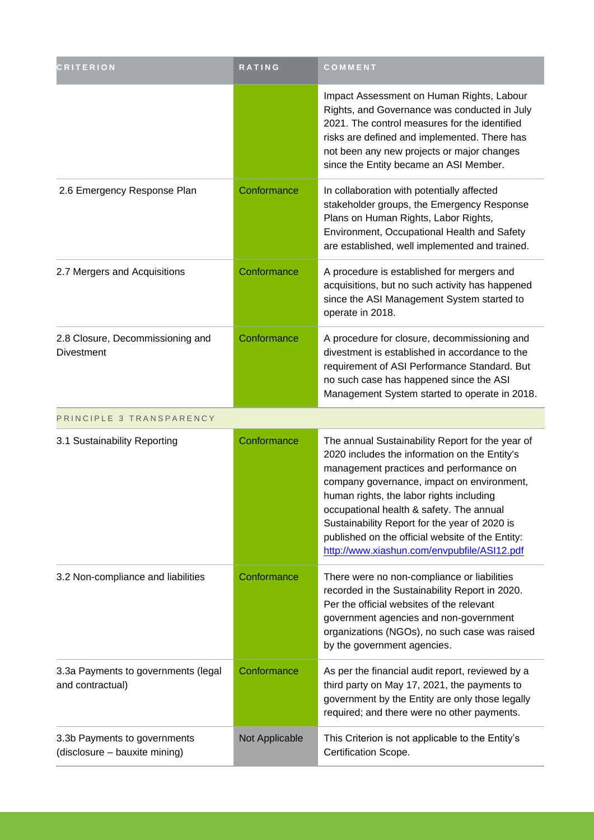| <b>CRITERION</b>                                              | <b>RATING</b>  | COMMENT                                                                                                                                                                                                                                                                                                                                                                                                                                |
|---------------------------------------------------------------|----------------|----------------------------------------------------------------------------------------------------------------------------------------------------------------------------------------------------------------------------------------------------------------------------------------------------------------------------------------------------------------------------------------------------------------------------------------|
|                                                               |                | Impact Assessment on Human Rights, Labour<br>Rights, and Governance was conducted in July<br>2021. The control measures for the identified<br>risks are defined and implemented. There has<br>not been any new projects or major changes<br>since the Entity became an ASI Member.                                                                                                                                                     |
| 2.6 Emergency Response Plan                                   | Conformance    | In collaboration with potentially affected<br>stakeholder groups, the Emergency Response<br>Plans on Human Rights, Labor Rights,<br>Environment, Occupational Health and Safety<br>are established, well implemented and trained.                                                                                                                                                                                                      |
| 2.7 Mergers and Acquisitions                                  | Conformance    | A procedure is established for mergers and<br>acquisitions, but no such activity has happened<br>since the ASI Management System started to<br>operate in 2018.                                                                                                                                                                                                                                                                        |
| 2.8 Closure, Decommissioning and<br><b>Divestment</b>         | Conformance    | A procedure for closure, decommissioning and<br>divestment is established in accordance to the<br>requirement of ASI Performance Standard. But<br>no such case has happened since the ASI<br>Management System started to operate in 2018.                                                                                                                                                                                             |
| PRINCIPLE 3 TRANSPARENCY                                      |                |                                                                                                                                                                                                                                                                                                                                                                                                                                        |
| 3.1 Sustainability Reporting                                  | Conformance    | The annual Sustainability Report for the year of<br>2020 includes the information on the Entity's<br>management practices and performance on<br>company governance, impact on environment,<br>human rights, the labor rights including<br>occupational health & safety. The annual<br>Sustainability Report for the year of 2020 is<br>published on the official website of the Entity:<br>http://www.xiashun.com/envpubfile/ASI12.pdf |
| 3.2 Non-compliance and liabilities                            | Conformance    | There were no non-compliance or liabilities<br>recorded in the Sustainability Report in 2020.<br>Per the official websites of the relevant<br>government agencies and non-government<br>organizations (NGOs), no such case was raised<br>by the government agencies.                                                                                                                                                                   |
| 3.3a Payments to governments (legal<br>and contractual)       | Conformance    | As per the financial audit report, reviewed by a<br>third party on May 17, 2021, the payments to<br>government by the Entity are only those legally<br>required; and there were no other payments.                                                                                                                                                                                                                                     |
| 3.3b Payments to governments<br>(disclosure - bauxite mining) | Not Applicable | This Criterion is not applicable to the Entity's<br>Certification Scope.                                                                                                                                                                                                                                                                                                                                                               |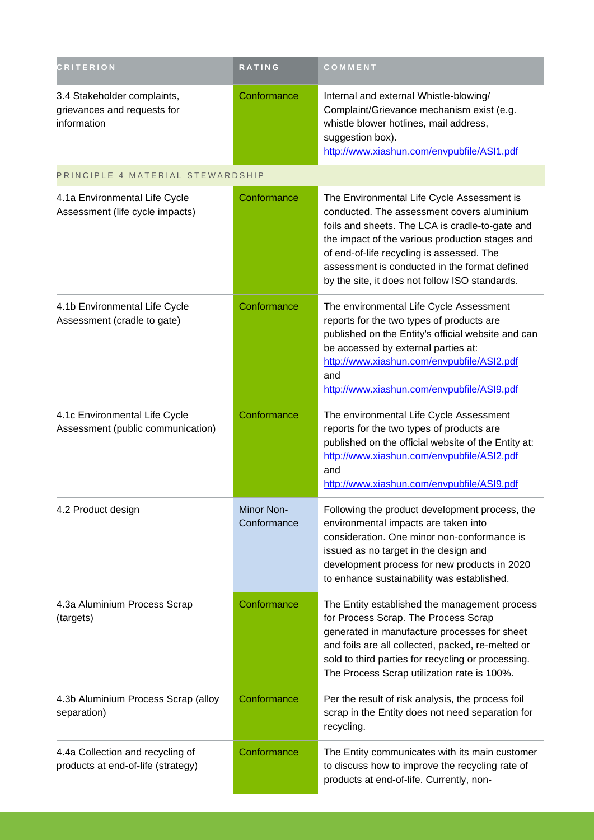| <b>CRITERION</b>                                                          | <b>RATING</b>                    | COMMENT                                                                                                                                                                                                                                                                                                                                        |
|---------------------------------------------------------------------------|----------------------------------|------------------------------------------------------------------------------------------------------------------------------------------------------------------------------------------------------------------------------------------------------------------------------------------------------------------------------------------------|
| 3.4 Stakeholder complaints,<br>grievances and requests for<br>information | Conformance                      | Internal and external Whistle-blowing/<br>Complaint/Grievance mechanism exist (e.g.<br>whistle blower hotlines, mail address,<br>suggestion box).<br>http://www.xiashun.com/envpubfile/ASI1.pdf                                                                                                                                                |
| PRINCIPLE 4 MATERIAL STEWARDSHIP                                          |                                  |                                                                                                                                                                                                                                                                                                                                                |
| 4.1a Environmental Life Cycle<br>Assessment (life cycle impacts)          | Conformance                      | The Environmental Life Cycle Assessment is<br>conducted. The assessment covers aluminium<br>foils and sheets. The LCA is cradle-to-gate and<br>the impact of the various production stages and<br>of end-of-life recycling is assessed. The<br>assessment is conducted in the format defined<br>by the site, it does not follow ISO standards. |
| 4.1b Environmental Life Cycle<br>Assessment (cradle to gate)              | Conformance                      | The environmental Life Cycle Assessment<br>reports for the two types of products are<br>published on the Entity's official website and can<br>be accessed by external parties at:<br>http://www.xiashun.com/envpubfile/ASI2.pdf<br>and<br>http://www.xiashun.com/envpubfile/ASI9.pdf                                                           |
| 4.1c Environmental Life Cycle<br>Assessment (public communication)        | Conformance                      | The environmental Life Cycle Assessment<br>reports for the two types of products are<br>published on the official website of the Entity at:<br>http://www.xiashun.com/envpubfile/ASI2.pdf<br>and<br>http://www.xiashun.com/envpubfile/ASI9.pdf                                                                                                 |
| 4.2 Product design                                                        | <b>Minor Non-</b><br>Conformance | Following the product development process, the<br>environmental impacts are taken into<br>consideration. One minor non-conformance is<br>issued as no target in the design and<br>development process for new products in 2020<br>to enhance sustainability was established.                                                                   |
| 4.3a Aluminium Process Scrap<br>(targets)                                 | Conformance                      | The Entity established the management process<br>for Process Scrap. The Process Scrap<br>generated in manufacture processes for sheet<br>and foils are all collected, packed, re-melted or<br>sold to third parties for recycling or processing.<br>The Process Scrap utilization rate is 100%.                                                |
| 4.3b Aluminium Process Scrap (alloy<br>separation)                        | Conformance                      | Per the result of risk analysis, the process foil<br>scrap in the Entity does not need separation for<br>recycling.                                                                                                                                                                                                                            |
| 4.4a Collection and recycling of<br>products at end-of-life (strategy)    | Conformance                      | The Entity communicates with its main customer<br>to discuss how to improve the recycling rate of<br>products at end-of-life. Currently, non-                                                                                                                                                                                                  |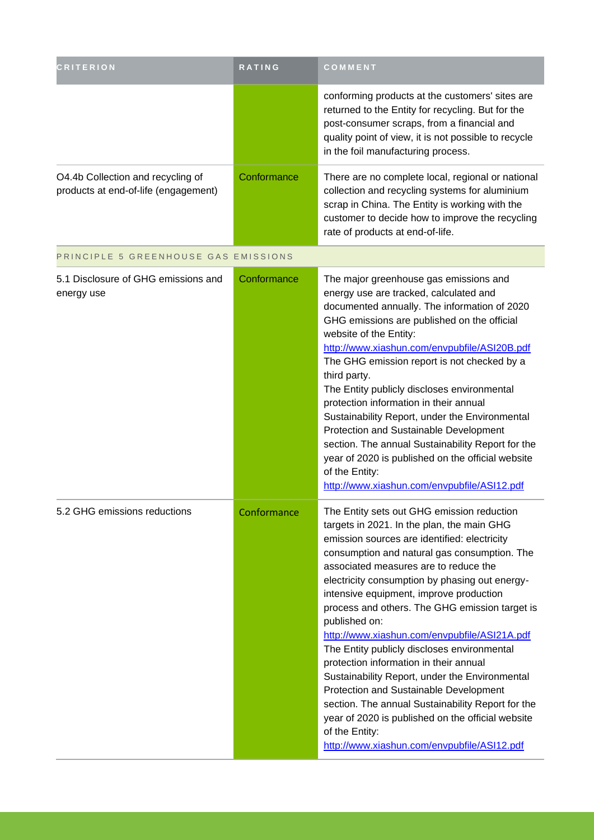| <b>CRITERION</b>                                                          | RATING      | COMMENT                                                                                                                                                                                                                                                                                                                                                                                                                                                                                                                                                                                                                                                                                                                                                                                                           |
|---------------------------------------------------------------------------|-------------|-------------------------------------------------------------------------------------------------------------------------------------------------------------------------------------------------------------------------------------------------------------------------------------------------------------------------------------------------------------------------------------------------------------------------------------------------------------------------------------------------------------------------------------------------------------------------------------------------------------------------------------------------------------------------------------------------------------------------------------------------------------------------------------------------------------------|
|                                                                           |             | conforming products at the customers' sites are<br>returned to the Entity for recycling. But for the<br>post-consumer scraps, from a financial and<br>quality point of view, it is not possible to recycle<br>in the foil manufacturing process.                                                                                                                                                                                                                                                                                                                                                                                                                                                                                                                                                                  |
| O4.4b Collection and recycling of<br>products at end-of-life (engagement) | Conformance | There are no complete local, regional or national<br>collection and recycling systems for aluminium<br>scrap in China. The Entity is working with the<br>customer to decide how to improve the recycling<br>rate of products at end-of-life.                                                                                                                                                                                                                                                                                                                                                                                                                                                                                                                                                                      |
| PRINCIPLE 5 GREENHOUSE GAS EMISSIONS                                      |             |                                                                                                                                                                                                                                                                                                                                                                                                                                                                                                                                                                                                                                                                                                                                                                                                                   |
| 5.1 Disclosure of GHG emissions and<br>energy use                         | Conformance | The major greenhouse gas emissions and<br>energy use are tracked, calculated and<br>documented annually. The information of 2020<br>GHG emissions are published on the official<br>website of the Entity:<br>http://www.xiashun.com/envpubfile/ASI20B.pdf<br>The GHG emission report is not checked by a<br>third party.<br>The Entity publicly discloses environmental<br>protection information in their annual<br>Sustainability Report, under the Environmental<br>Protection and Sustainable Development<br>section. The annual Sustainability Report for the<br>year of 2020 is published on the official website<br>of the Entity:<br>http://www.xiashun.com/envpubfile/ASI12.pdf                                                                                                                          |
| 5.2 GHG emissions reductions                                              | Conformance | The Entity sets out GHG emission reduction<br>targets in 2021. In the plan, the main GHG<br>emission sources are identified: electricity<br>consumption and natural gas consumption. The<br>associated measures are to reduce the<br>electricity consumption by phasing out energy-<br>intensive equipment, improve production<br>process and others. The GHG emission target is<br>published on:<br>http://www.xiashun.com/envpubfile/ASI21A.pdf<br>The Entity publicly discloses environmental<br>protection information in their annual<br>Sustainability Report, under the Environmental<br>Protection and Sustainable Development<br>section. The annual Sustainability Report for the<br>year of 2020 is published on the official website<br>of the Entity:<br>http://www.xiashun.com/envpubfile/ASI12.pdf |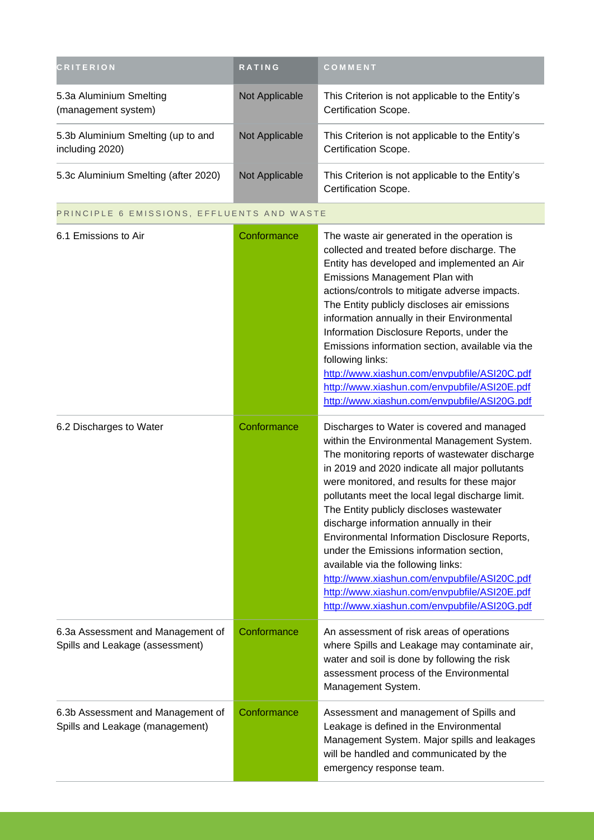| <b>CRITERION</b>                                                     | <b>RATING</b>  | COMMENT                                                                                                                                                                                                                                                                                                                                                                                                                                                                                                                                                                                                                                                                    |
|----------------------------------------------------------------------|----------------|----------------------------------------------------------------------------------------------------------------------------------------------------------------------------------------------------------------------------------------------------------------------------------------------------------------------------------------------------------------------------------------------------------------------------------------------------------------------------------------------------------------------------------------------------------------------------------------------------------------------------------------------------------------------------|
| 5.3a Aluminium Smelting<br>(management system)                       | Not Applicable | This Criterion is not applicable to the Entity's<br>Certification Scope.                                                                                                                                                                                                                                                                                                                                                                                                                                                                                                                                                                                                   |
| 5.3b Aluminium Smelting (up to and<br>including 2020)                | Not Applicable | This Criterion is not applicable to the Entity's<br>Certification Scope.                                                                                                                                                                                                                                                                                                                                                                                                                                                                                                                                                                                                   |
| 5.3c Aluminium Smelting (after 2020)                                 | Not Applicable | This Criterion is not applicable to the Entity's<br>Certification Scope.                                                                                                                                                                                                                                                                                                                                                                                                                                                                                                                                                                                                   |
| PRINCIPLE 6 EMISSIONS, EFFLUENTS AND WASTE                           |                |                                                                                                                                                                                                                                                                                                                                                                                                                                                                                                                                                                                                                                                                            |
| 6.1 Emissions to Air                                                 | Conformance    | The waste air generated in the operation is<br>collected and treated before discharge. The<br>Entity has developed and implemented an Air<br>Emissions Management Plan with<br>actions/controls to mitigate adverse impacts.<br>The Entity publicly discloses air emissions<br>information annually in their Environmental<br>Information Disclosure Reports, under the<br>Emissions information section, available via the<br>following links:<br>http://www.xiashun.com/envpubfile/ASI20C.pdf<br>http://www.xiashun.com/envpubfile/ASI20E.pdf<br>http://www.xiashun.com/envpubfile/ASI20G.pdf                                                                            |
| 6.2 Discharges to Water                                              | Conformance    | Discharges to Water is covered and managed<br>within the Environmental Management System.<br>The monitoring reports of wastewater discharge<br>in 2019 and 2020 indicate all major pollutants<br>were monitored, and results for these major<br>pollutants meet the local legal discharge limit.<br>The Entity publicly discloses wastewater<br>discharge information annually in their<br>Environmental Information Disclosure Reports,<br>under the Emissions information section,<br>available via the following links:<br>http://www.xiashun.com/envpubfile/ASI20C.pdf<br>http://www.xiashun.com/envpubfile/ASI20E.pdf<br>http://www.xiashun.com/envpubfile/ASI20G.pdf |
| 6.3a Assessment and Management of<br>Spills and Leakage (assessment) | Conformance    | An assessment of risk areas of operations<br>where Spills and Leakage may contaminate air,<br>water and soil is done by following the risk<br>assessment process of the Environmental<br>Management System.                                                                                                                                                                                                                                                                                                                                                                                                                                                                |
| 6.3b Assessment and Management of<br>Spills and Leakage (management) | Conformance    | Assessment and management of Spills and<br>Leakage is defined in the Environmental<br>Management System. Major spills and leakages<br>will be handled and communicated by the<br>emergency response team.                                                                                                                                                                                                                                                                                                                                                                                                                                                                  |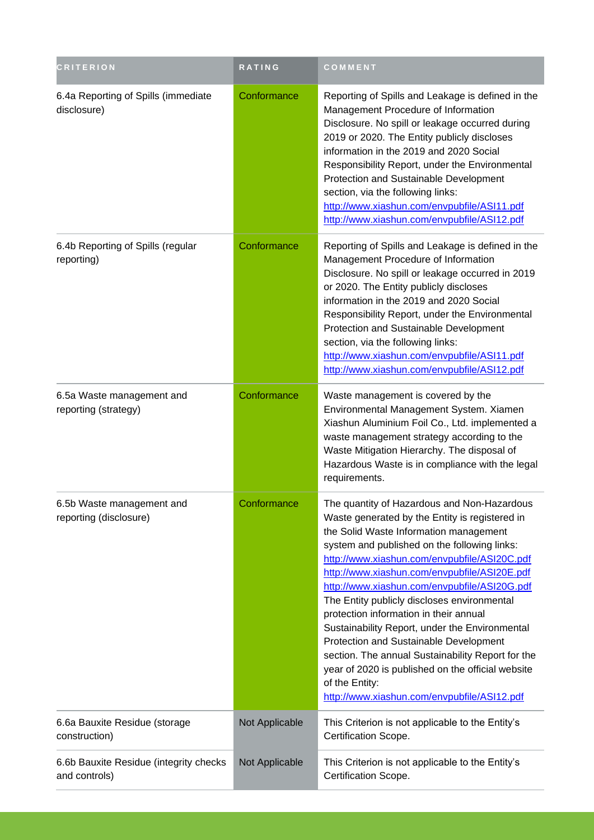| <b>CRITERION</b>                                        | RATING         | COMMENT                                                                                                                                                                                                                                                                                                                                                                                                                                                                                                                                                                                                                                                                                                 |  |
|---------------------------------------------------------|----------------|---------------------------------------------------------------------------------------------------------------------------------------------------------------------------------------------------------------------------------------------------------------------------------------------------------------------------------------------------------------------------------------------------------------------------------------------------------------------------------------------------------------------------------------------------------------------------------------------------------------------------------------------------------------------------------------------------------|--|
| 6.4a Reporting of Spills (immediate<br>disclosure)      | Conformance    | Reporting of Spills and Leakage is defined in the<br>Management Procedure of Information<br>Disclosure. No spill or leakage occurred during<br>2019 or 2020. The Entity publicly discloses<br>information in the 2019 and 2020 Social<br>Responsibility Report, under the Environmental<br>Protection and Sustainable Development<br>section, via the following links:<br>http://www.xiashun.com/envpubfile/ASI11.pdf<br>http://www.xiashun.com/envpubfile/ASI12.pdf                                                                                                                                                                                                                                    |  |
| 6.4b Reporting of Spills (regular<br>reporting)         | Conformance    | Reporting of Spills and Leakage is defined in the<br>Management Procedure of Information<br>Disclosure. No spill or leakage occurred in 2019<br>or 2020. The Entity publicly discloses<br>information in the 2019 and 2020 Social<br>Responsibility Report, under the Environmental<br>Protection and Sustainable Development<br>section, via the following links:<br>http://www.xiashun.com/envpubfile/ASI11.pdf<br>http://www.xiashun.com/envpubfile/ASI12.pdf                                                                                                                                                                                                                                        |  |
| 6.5a Waste management and<br>reporting (strategy)       | Conformance    | Waste management is covered by the<br>Environmental Management System. Xiamen<br>Xiashun Aluminium Foil Co., Ltd. implemented a<br>waste management strategy according to the<br>Waste Mitigation Hierarchy. The disposal of<br>Hazardous Waste is in compliance with the legal<br>requirements.                                                                                                                                                                                                                                                                                                                                                                                                        |  |
| 6.5b Waste management and<br>reporting (disclosure)     | Conformance    | The quantity of Hazardous and Non-Hazardous<br>Waste generated by the Entity is registered in<br>the Solid Waste Information management<br>system and published on the following links:<br>http://www.xiashun.com/envpubfile/ASI20C.pdf<br>http://www.xiashun.com/envpubfile/ASI20E.pdf<br>http://www.xiashun.com/envpubfile/ASI20G.pdf<br>The Entity publicly discloses environmental<br>protection information in their annual<br>Sustainability Report, under the Environmental<br>Protection and Sustainable Development<br>section. The annual Sustainability Report for the<br>year of 2020 is published on the official website<br>of the Entity:<br>http://www.xiashun.com/envpubfile/ASI12.pdf |  |
| 6.6a Bauxite Residue (storage<br>construction)          | Not Applicable | This Criterion is not applicable to the Entity's<br>Certification Scope.                                                                                                                                                                                                                                                                                                                                                                                                                                                                                                                                                                                                                                |  |
| 6.6b Bauxite Residue (integrity checks<br>and controls) | Not Applicable | This Criterion is not applicable to the Entity's<br>Certification Scope.                                                                                                                                                                                                                                                                                                                                                                                                                                                                                                                                                                                                                                |  |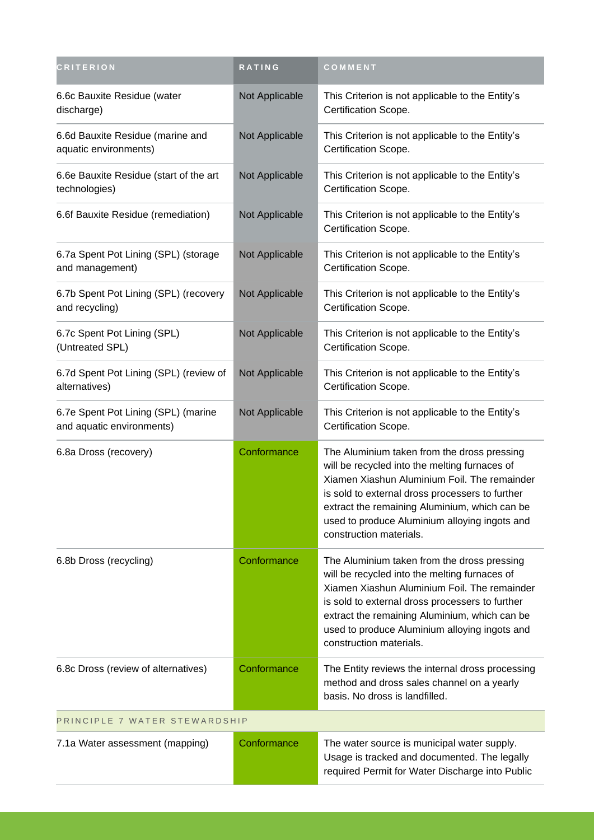| <b>CRITERION</b>                                                 | RATING         | COMMENT                                                                                                                                                                                                                                                                                                                      |  |
|------------------------------------------------------------------|----------------|------------------------------------------------------------------------------------------------------------------------------------------------------------------------------------------------------------------------------------------------------------------------------------------------------------------------------|--|
| 6.6c Bauxite Residue (water<br>discharge)                        | Not Applicable | This Criterion is not applicable to the Entity's<br>Certification Scope.                                                                                                                                                                                                                                                     |  |
| 6.6d Bauxite Residue (marine and<br>aquatic environments)        | Not Applicable | This Criterion is not applicable to the Entity's<br>Certification Scope.                                                                                                                                                                                                                                                     |  |
| 6.6e Bauxite Residue (start of the art<br>technologies)          | Not Applicable | This Criterion is not applicable to the Entity's<br>Certification Scope.                                                                                                                                                                                                                                                     |  |
| 6.6f Bauxite Residue (remediation)                               | Not Applicable | This Criterion is not applicable to the Entity's<br>Certification Scope.                                                                                                                                                                                                                                                     |  |
| 6.7a Spent Pot Lining (SPL) (storage<br>and management)          | Not Applicable | This Criterion is not applicable to the Entity's<br>Certification Scope.                                                                                                                                                                                                                                                     |  |
| 6.7b Spent Pot Lining (SPL) (recovery<br>and recycling)          | Not Applicable | This Criterion is not applicable to the Entity's<br>Certification Scope.                                                                                                                                                                                                                                                     |  |
| 6.7c Spent Pot Lining (SPL)<br>(Untreated SPL)                   | Not Applicable | This Criterion is not applicable to the Entity's<br>Certification Scope.                                                                                                                                                                                                                                                     |  |
| 6.7d Spent Pot Lining (SPL) (review of<br>alternatives)          | Not Applicable | This Criterion is not applicable to the Entity's<br>Certification Scope.                                                                                                                                                                                                                                                     |  |
| 6.7e Spent Pot Lining (SPL) (marine<br>and aquatic environments) | Not Applicable | This Criterion is not applicable to the Entity's<br>Certification Scope.                                                                                                                                                                                                                                                     |  |
| 6.8a Dross (recovery)                                            | Conformance    | The Aluminium taken from the dross pressing<br>will be recycled into the melting furnaces of<br>Xiamen Xiashun Aluminium Foil. The remainder<br>is sold to external dross processers to further<br>extract the remaining Aluminium, which can be<br>used to produce Aluminium alloying ingots and<br>construction materials. |  |
| 6.8b Dross (recycling)                                           | Conformance    | The Aluminium taken from the dross pressing<br>will be recycled into the melting furnaces of<br>Xiamen Xiashun Aluminium Foil. The remainder<br>is sold to external dross processers to further<br>extract the remaining Aluminium, which can be<br>used to produce Aluminium alloying ingots and<br>construction materials. |  |
| 6.8c Dross (review of alternatives)                              | Conformance    | The Entity reviews the internal dross processing<br>method and dross sales channel on a yearly<br>basis. No dross is landfilled.                                                                                                                                                                                             |  |
| PRINCIPLE 7 WATER STEWARDSHIP                                    |                |                                                                                                                                                                                                                                                                                                                              |  |
| 7.1a Water assessment (mapping)                                  | Conformance    | The water source is municipal water supply.<br>Usage is tracked and documented. The legally<br>required Permit for Water Discharge into Public                                                                                                                                                                               |  |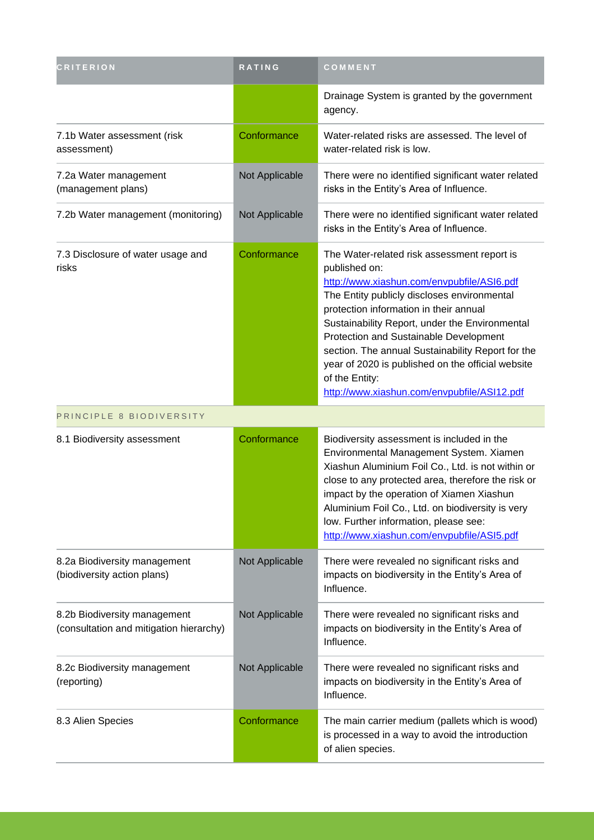| <b>CRITERION</b>                                                        | <b>RATING</b>  | COMMENT                                                                                                                                                                                                                                                                                                                                                                                                                                                                    |
|-------------------------------------------------------------------------|----------------|----------------------------------------------------------------------------------------------------------------------------------------------------------------------------------------------------------------------------------------------------------------------------------------------------------------------------------------------------------------------------------------------------------------------------------------------------------------------------|
|                                                                         |                | Drainage System is granted by the government<br>agency.                                                                                                                                                                                                                                                                                                                                                                                                                    |
| 7.1b Water assessment (risk<br>assessment)                              | Conformance    | Water-related risks are assessed. The level of<br>water-related risk is low.                                                                                                                                                                                                                                                                                                                                                                                               |
| 7.2a Water management<br>(management plans)                             | Not Applicable | There were no identified significant water related<br>risks in the Entity's Area of Influence.                                                                                                                                                                                                                                                                                                                                                                             |
| 7.2b Water management (monitoring)                                      | Not Applicable | There were no identified significant water related<br>risks in the Entity's Area of Influence.                                                                                                                                                                                                                                                                                                                                                                             |
| 7.3 Disclosure of water usage and<br>risks                              | Conformance    | The Water-related risk assessment report is<br>published on:<br>http://www.xiashun.com/envpubfile/ASI6.pdf<br>The Entity publicly discloses environmental<br>protection information in their annual<br>Sustainability Report, under the Environmental<br>Protection and Sustainable Development<br>section. The annual Sustainability Report for the<br>year of 2020 is published on the official website<br>of the Entity:<br>http://www.xiashun.com/envpubfile/ASI12.pdf |
| PRINCIPLE 8 BIODIVERSITY                                                |                |                                                                                                                                                                                                                                                                                                                                                                                                                                                                            |
| 8.1 Biodiversity assessment                                             | Conformance    | Biodiversity assessment is included in the<br>Environmental Management System. Xiamen<br>Xiashun Aluminium Foil Co., Ltd. is not within or<br>close to any protected area, therefore the risk or<br>impact by the operation of Xiamen Xiashun<br>Aluminium Foil Co., Ltd. on biodiversity is very<br>low. Further information, please see:<br>http://www.xiashun.com/envpubfile/ASI5.pdf                                                                                   |
| 8.2a Biodiversity management<br>(biodiversity action plans)             | Not Applicable | There were revealed no significant risks and<br>impacts on biodiversity in the Entity's Area of<br>Influence.                                                                                                                                                                                                                                                                                                                                                              |
| 8.2b Biodiversity management<br>(consultation and mitigation hierarchy) | Not Applicable | There were revealed no significant risks and<br>impacts on biodiversity in the Entity's Area of<br>Influence.                                                                                                                                                                                                                                                                                                                                                              |
| 8.2c Biodiversity management<br>(reporting)                             | Not Applicable | There were revealed no significant risks and<br>impacts on biodiversity in the Entity's Area of<br>Influence.                                                                                                                                                                                                                                                                                                                                                              |
| 8.3 Alien Species                                                       | Conformance    | The main carrier medium (pallets which is wood)<br>is processed in a way to avoid the introduction<br>of alien species.                                                                                                                                                                                                                                                                                                                                                    |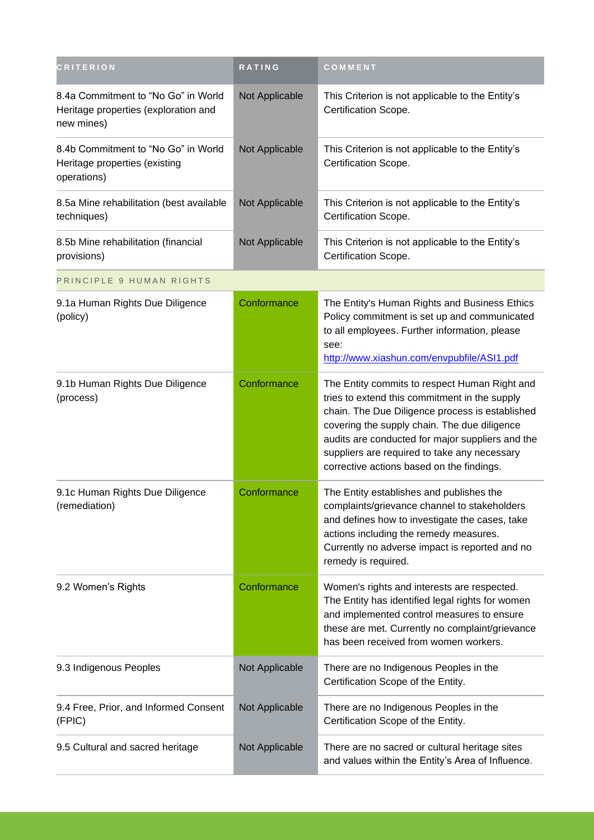| <b>CRITERION</b>                                                                          | RATING         | COMMENT                                                                                                                                                                                                                                                                                                                                            |
|-------------------------------------------------------------------------------------------|----------------|----------------------------------------------------------------------------------------------------------------------------------------------------------------------------------------------------------------------------------------------------------------------------------------------------------------------------------------------------|
| 8.4a Commitment to "No Go" in World<br>Heritage properties (exploration and<br>new mines) | Not Applicable | This Criterion is not applicable to the Entity's<br>Certification Scope.                                                                                                                                                                                                                                                                           |
| 8.4b Commitment to "No Go" in World<br>Heritage properties (existing<br>operations)       | Not Applicable | This Criterion is not applicable to the Entity's<br>Certification Scope.                                                                                                                                                                                                                                                                           |
| 8.5a Mine rehabilitation (best available<br>techniques)                                   | Not Applicable | This Criterion is not applicable to the Entity's<br>Certification Scope.                                                                                                                                                                                                                                                                           |
| 8.5b Mine rehabilitation (financial<br>provisions)                                        | Not Applicable | This Criterion is not applicable to the Entity's<br>Certification Scope.                                                                                                                                                                                                                                                                           |
| PRINCIPLE 9 HUMAN RIGHTS                                                                  |                |                                                                                                                                                                                                                                                                                                                                                    |
| 9.1a Human Rights Due Diligence<br>(policy)                                               | Conformance    | The Entity's Human Rights and Business Ethics<br>Policy commitment is set up and communicated<br>to all employees. Further information, please<br>see:<br>http://www.xiashun.com/envpubfile/ASI1.pdf                                                                                                                                               |
| 9.1b Human Rights Due Diligence<br>(process)                                              | Conformance    | The Entity commits to respect Human Right and<br>tries to extend this commitment in the supply<br>chain. The Due Diligence process is established<br>covering the supply chain. The due diligence<br>audits are conducted for major suppliers and the<br>suppliers are required to take any necessary<br>corrective actions based on the findings. |
| 9.1c Human Rights Due Diligence<br>(remediation)                                          | Conformance    | The Entity establishes and publishes the<br>complaints/grievance channel to stakeholders<br>and defines how to investigate the cases, take<br>actions including the remedy measures.<br>Currently no adverse impact is reported and no<br>remedy is required.                                                                                      |
| 9.2 Women's Rights                                                                        | Conformance    | Women's rights and interests are respected.<br>The Entity has identified legal rights for women<br>and implemented control measures to ensure<br>these are met. Currently no complaint/grievance<br>has been received from women workers.                                                                                                          |
| 9.3 Indigenous Peoples                                                                    | Not Applicable | There are no Indigenous Peoples in the<br>Certification Scope of the Entity.                                                                                                                                                                                                                                                                       |
| 9.4 Free, Prior, and Informed Consent<br>(FPIC)                                           | Not Applicable | There are no Indigenous Peoples in the<br>Certification Scope of the Entity.                                                                                                                                                                                                                                                                       |
| 9.5 Cultural and sacred heritage                                                          | Not Applicable | There are no sacred or cultural heritage sites<br>and values within the Entity's Area of Influence.                                                                                                                                                                                                                                                |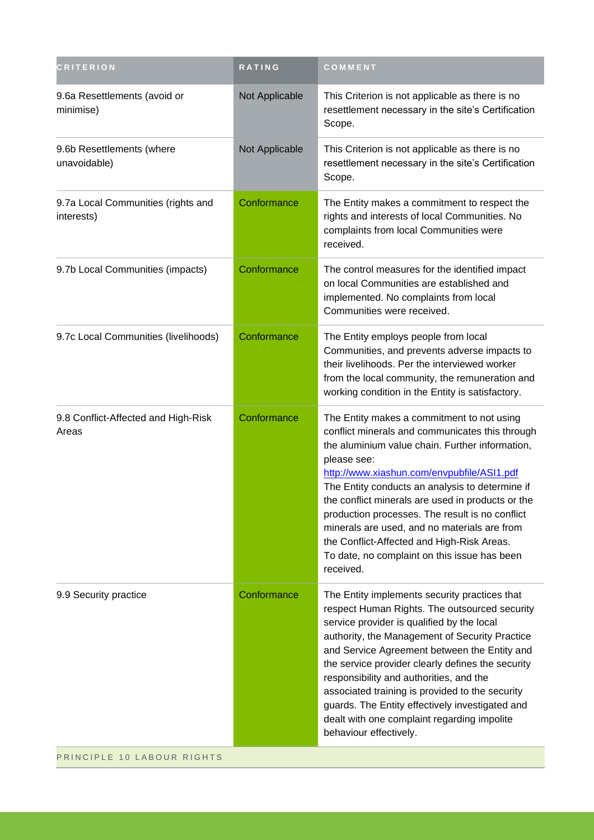| <b>CRITERION</b>                                 | RATING         | COMMENT                                                                                                                                                                                                                                                                                                                                                                                                                                                                                                                             |
|--------------------------------------------------|----------------|-------------------------------------------------------------------------------------------------------------------------------------------------------------------------------------------------------------------------------------------------------------------------------------------------------------------------------------------------------------------------------------------------------------------------------------------------------------------------------------------------------------------------------------|
| 9.6a Resettlements (avoid or<br>minimise)        | Not Applicable | This Criterion is not applicable as there is no<br>resettlement necessary in the site's Certification<br>Scope.                                                                                                                                                                                                                                                                                                                                                                                                                     |
| 9.6b Resettlements (where<br>unavoidable)        | Not Applicable | This Criterion is not applicable as there is no<br>resettlement necessary in the site's Certification<br>Scope.                                                                                                                                                                                                                                                                                                                                                                                                                     |
| 9.7a Local Communities (rights and<br>interests) | Conformance    | The Entity makes a commitment to respect the<br>rights and interests of local Communities. No<br>complaints from local Communities were<br>received.                                                                                                                                                                                                                                                                                                                                                                                |
| 9.7b Local Communities (impacts)                 | Conformance    | The control measures for the identified impact<br>on local Communities are established and<br>implemented. No complaints from local<br>Communities were received.                                                                                                                                                                                                                                                                                                                                                                   |
| 9.7c Local Communities (livelihoods)             | Conformance    | The Entity employs people from local<br>Communities, and prevents adverse impacts to<br>their livelihoods. Per the interviewed worker<br>from the local community, the remuneration and<br>working condition in the Entity is satisfactory.                                                                                                                                                                                                                                                                                         |
| 9.8 Conflict-Affected and High-Risk<br>Areas     | Conformance    | The Entity makes a commitment to not using<br>conflict minerals and communicates this through<br>the aluminium value chain. Further information,<br>please see:<br>http://www.xiashun.com/envpubfile/ASI1.pdf<br>The Entity conducts an analysis to determine if<br>the conflict minerals are used in products or the<br>production processes. The result is no conflict<br>minerals are used, and no materials are from<br>the Conflict-Affected and High-Risk Areas.<br>To date, no complaint on this issue has been<br>received. |
| 9.9 Security practice                            | Conformance    | The Entity implements security practices that<br>respect Human Rights. The outsourced security<br>service provider is qualified by the local<br>authority, the Management of Security Practice<br>and Service Agreement between the Entity and<br>the service provider clearly defines the security<br>responsibility and authorities, and the<br>associated training is provided to the security<br>guards. The Entity effectively investigated and<br>dealt with one complaint regarding impolite<br>behaviour effectively.       |
| PRINCIPLE 10 LABOUR RIGHTS                       |                |                                                                                                                                                                                                                                                                                                                                                                                                                                                                                                                                     |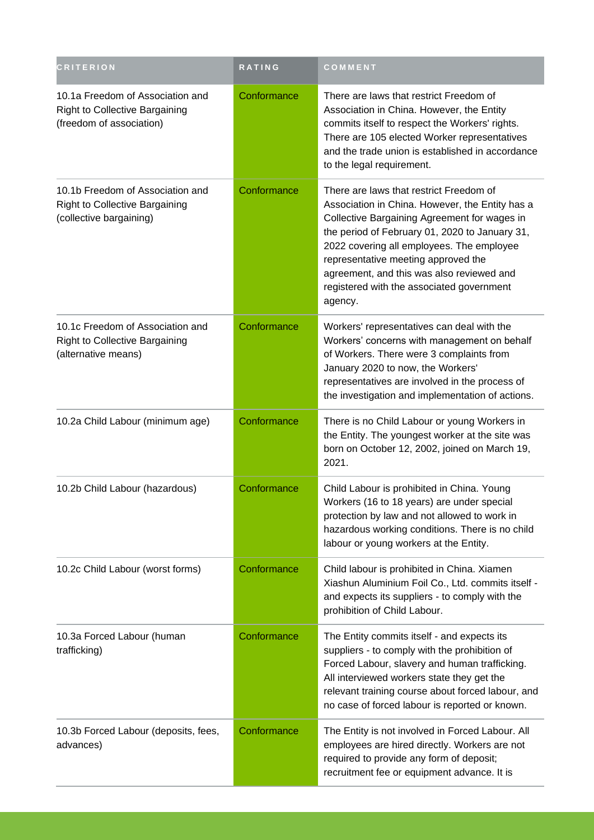| <b>CRITERION</b>                                                                                      | <b>RATING</b> | COMMENT                                                                                                                                                                                                                                                                                                                                                                               |
|-------------------------------------------------------------------------------------------------------|---------------|---------------------------------------------------------------------------------------------------------------------------------------------------------------------------------------------------------------------------------------------------------------------------------------------------------------------------------------------------------------------------------------|
| 10.1a Freedom of Association and<br><b>Right to Collective Bargaining</b><br>(freedom of association) | Conformance   | There are laws that restrict Freedom of<br>Association in China. However, the Entity<br>commits itself to respect the Workers' rights.<br>There are 105 elected Worker representatives<br>and the trade union is established in accordance<br>to the legal requirement.                                                                                                               |
| 10.1b Freedom of Association and<br><b>Right to Collective Bargaining</b><br>(collective bargaining)  | Conformance   | There are laws that restrict Freedom of<br>Association in China. However, the Entity has a<br>Collective Bargaining Agreement for wages in<br>the period of February 01, 2020 to January 31,<br>2022 covering all employees. The employee<br>representative meeting approved the<br>agreement, and this was also reviewed and<br>registered with the associated government<br>agency. |
| 10.1c Freedom of Association and<br><b>Right to Collective Bargaining</b><br>(alternative means)      | Conformance   | Workers' representatives can deal with the<br>Workers' concerns with management on behalf<br>of Workers. There were 3 complaints from<br>January 2020 to now, the Workers'<br>representatives are involved in the process of<br>the investigation and implementation of actions.                                                                                                      |
| 10.2a Child Labour (minimum age)                                                                      | Conformance   | There is no Child Labour or young Workers in<br>the Entity. The youngest worker at the site was<br>born on October 12, 2002, joined on March 19,<br>2021.                                                                                                                                                                                                                             |
| 10.2b Child Labour (hazardous)                                                                        | Conformance   | Child Labour is prohibited in China. Young<br>Workers (16 to 18 years) are under special<br>protection by law and not allowed to work in<br>hazardous working conditions. There is no child<br>labour or young workers at the Entity.                                                                                                                                                 |
| 10.2c Child Labour (worst forms)                                                                      | Conformance   | Child labour is prohibited in China. Xiamen<br>Xiashun Aluminium Foil Co., Ltd. commits itself -<br>and expects its suppliers - to comply with the<br>prohibition of Child Labour.                                                                                                                                                                                                    |
| 10.3a Forced Labour (human<br>trafficking)                                                            | Conformance   | The Entity commits itself - and expects its<br>suppliers - to comply with the prohibition of<br>Forced Labour, slavery and human trafficking.<br>All interviewed workers state they get the<br>relevant training course about forced labour, and<br>no case of forced labour is reported or known.                                                                                    |
| 10.3b Forced Labour (deposits, fees,<br>advances)                                                     | Conformance   | The Entity is not involved in Forced Labour. All<br>employees are hired directly. Workers are not<br>required to provide any form of deposit;<br>recruitment fee or equipment advance. It is                                                                                                                                                                                          |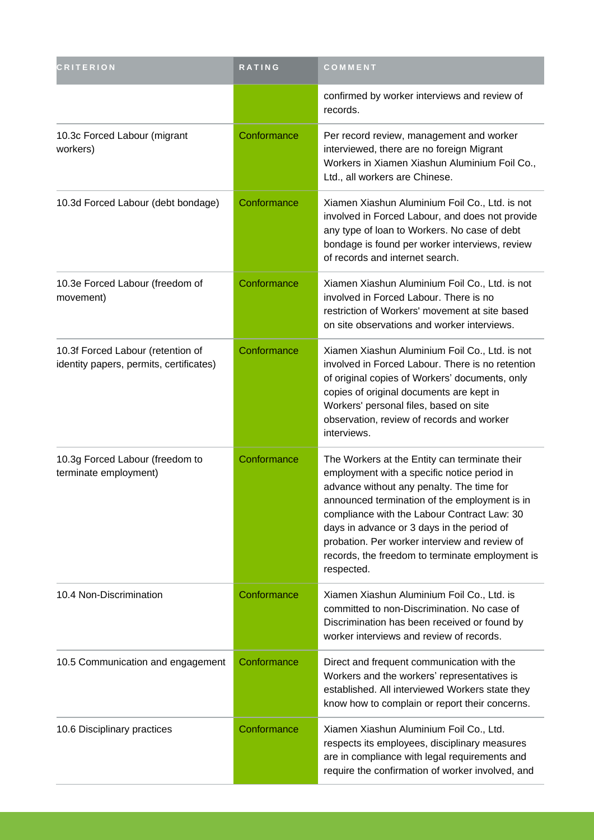| <b>CRITERION</b>                                                             | RATING      | COMMENT                                                                                                                                                                                                                                                                                                                                                                                                   |
|------------------------------------------------------------------------------|-------------|-----------------------------------------------------------------------------------------------------------------------------------------------------------------------------------------------------------------------------------------------------------------------------------------------------------------------------------------------------------------------------------------------------------|
|                                                                              |             | confirmed by worker interviews and review of<br>records.                                                                                                                                                                                                                                                                                                                                                  |
| 10.3c Forced Labour (migrant<br>workers)                                     | Conformance | Per record review, management and worker<br>interviewed, there are no foreign Migrant<br>Workers in Xiamen Xiashun Aluminium Foil Co.,<br>Ltd., all workers are Chinese.                                                                                                                                                                                                                                  |
| 10.3d Forced Labour (debt bondage)                                           | Conformance | Xiamen Xiashun Aluminium Foil Co., Ltd. is not<br>involved in Forced Labour, and does not provide<br>any type of loan to Workers. No case of debt<br>bondage is found per worker interviews, review<br>of records and internet search.                                                                                                                                                                    |
| 10.3e Forced Labour (freedom of<br>movement)                                 | Conformance | Xiamen Xiashun Aluminium Foil Co., Ltd. is not<br>involved in Forced Labour. There is no<br>restriction of Workers' movement at site based<br>on site observations and worker interviews.                                                                                                                                                                                                                 |
| 10.3f Forced Labour (retention of<br>identity papers, permits, certificates) | Conformance | Xiamen Xiashun Aluminium Foil Co., Ltd. is not<br>involved in Forced Labour. There is no retention<br>of original copies of Workers' documents, only<br>copies of original documents are kept in<br>Workers' personal files, based on site<br>observation, review of records and worker<br>interviews.                                                                                                    |
| 10.3g Forced Labour (freedom to<br>terminate employment)                     | Conformance | The Workers at the Entity can terminate their<br>employment with a specific notice period in<br>advance without any penalty. The time for<br>announced termination of the employment is in<br>compliance with the Labour Contract Law: 30<br>days in advance or 3 days in the period of<br>probation. Per worker interview and review of<br>records, the freedom to terminate employment is<br>respected. |
| 10.4 Non-Discrimination                                                      | Conformance | Xiamen Xiashun Aluminium Foil Co., Ltd. is<br>committed to non-Discrimination. No case of<br>Discrimination has been received or found by<br>worker interviews and review of records.                                                                                                                                                                                                                     |
| 10.5 Communication and engagement                                            | Conformance | Direct and frequent communication with the<br>Workers and the workers' representatives is<br>established. All interviewed Workers state they<br>know how to complain or report their concerns.                                                                                                                                                                                                            |
| 10.6 Disciplinary practices                                                  | Conformance | Xiamen Xiashun Aluminium Foil Co., Ltd.<br>respects its employees, disciplinary measures<br>are in compliance with legal requirements and<br>require the confirmation of worker involved, and                                                                                                                                                                                                             |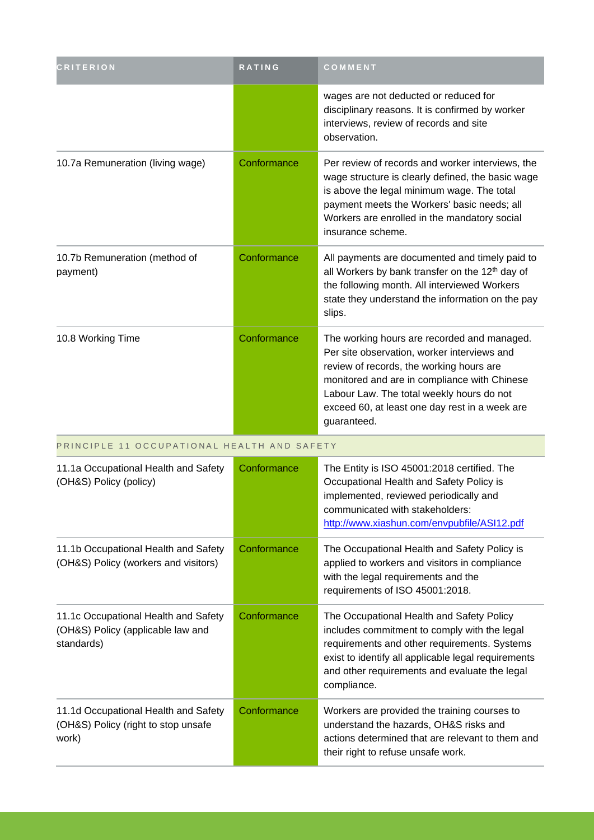| <b>CRITERION</b>                                                                        | RATING      | COMMENT                                                                                                                                                                                                                                                                                              |
|-----------------------------------------------------------------------------------------|-------------|------------------------------------------------------------------------------------------------------------------------------------------------------------------------------------------------------------------------------------------------------------------------------------------------------|
|                                                                                         |             | wages are not deducted or reduced for<br>disciplinary reasons. It is confirmed by worker<br>interviews, review of records and site<br>observation.                                                                                                                                                   |
| 10.7a Remuneration (living wage)                                                        | Conformance | Per review of records and worker interviews, the<br>wage structure is clearly defined, the basic wage<br>is above the legal minimum wage. The total<br>payment meets the Workers' basic needs; all<br>Workers are enrolled in the mandatory social<br>insurance scheme.                              |
| 10.7b Remuneration (method of<br>payment)                                               | Conformance | All payments are documented and timely paid to<br>all Workers by bank transfer on the 12 <sup>th</sup> day of<br>the following month. All interviewed Workers<br>state they understand the information on the pay<br>slips.                                                                          |
| 10.8 Working Time                                                                       | Conformance | The working hours are recorded and managed.<br>Per site observation, worker interviews and<br>review of records, the working hours are<br>monitored and are in compliance with Chinese<br>Labour Law. The total weekly hours do not<br>exceed 60, at least one day rest in a week are<br>guaranteed. |
| PRINCIPLE 11 OCCUPATIONAL HEALTH AND SAFETY                                             |             |                                                                                                                                                                                                                                                                                                      |
| 11.1a Occupational Health and Safety<br>(OH&S) Policy (policy)                          | Conformance | The Entity is ISO 45001:2018 certified. The<br>Occupational Health and Safety Policy is<br>implemented, reviewed periodically and<br>communicated with stakeholders:<br>http://www.xiashun.com/envpubfile/ASI12.pdf                                                                                  |
| 11.1b Occupational Health and Safety<br>(OH&S) Policy (workers and visitors)            | Conformance | The Occupational Health and Safety Policy is<br>applied to workers and visitors in compliance<br>with the legal requirements and the<br>requirements of ISO 45001:2018.                                                                                                                              |
| 11.1c Occupational Health and Safety<br>(OH&S) Policy (applicable law and<br>standards) | Conformance | The Occupational Health and Safety Policy<br>includes commitment to comply with the legal<br>requirements and other requirements. Systems<br>exist to identify all applicable legal requirements<br>and other requirements and evaluate the legal<br>compliance.                                     |
| 11.1d Occupational Health and Safety<br>(OH&S) Policy (right to stop unsafe<br>work)    | Conformance | Workers are provided the training courses to<br>understand the hazards, OH&S risks and<br>actions determined that are relevant to them and<br>their right to refuse unsafe work.                                                                                                                     |